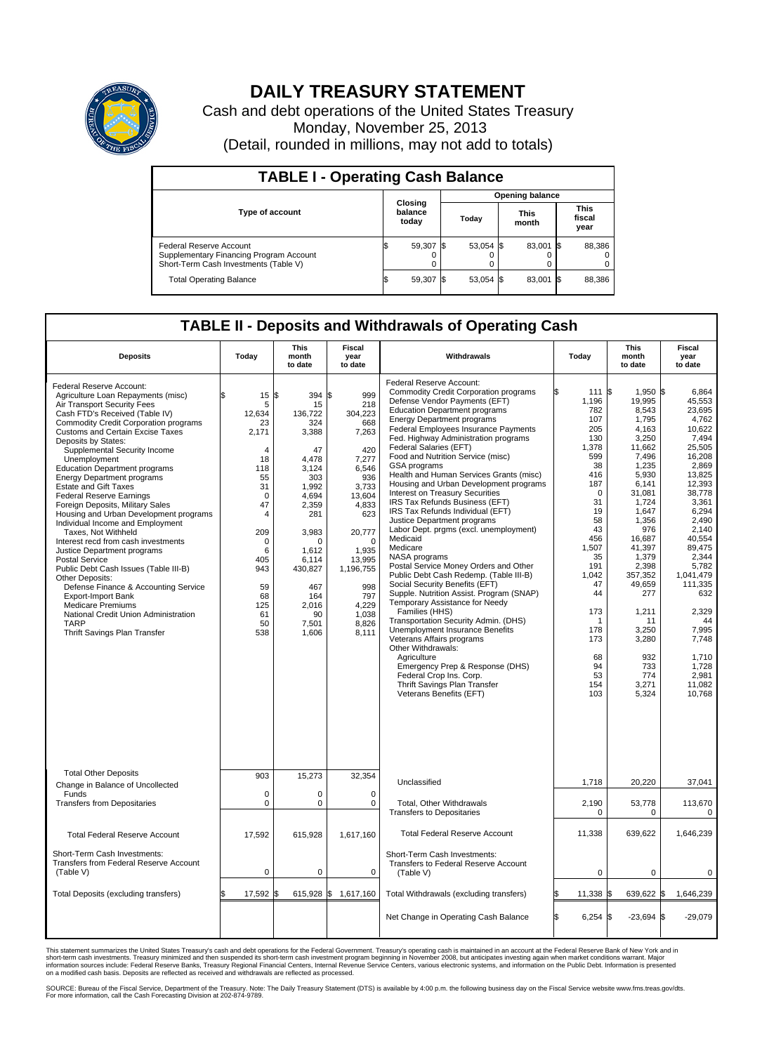

## **DAILY TREASURY STATEMENT**

Cash and debt operations of the United States Treasury Monday, November 25, 2013 (Detail, rounded in millions, may not add to totals)

| <b>TABLE I - Operating Cash Balance</b>                                                                     |  |                             |  |                        |  |                      |  |                               |  |  |  |
|-------------------------------------------------------------------------------------------------------------|--|-----------------------------|--|------------------------|--|----------------------|--|-------------------------------|--|--|--|
|                                                                                                             |  |                             |  | <b>Opening balance</b> |  |                      |  |                               |  |  |  |
| <b>Type of account</b>                                                                                      |  | Closing<br>balance<br>today |  | Today                  |  | <b>This</b><br>month |  | <b>This</b><br>fiscal<br>year |  |  |  |
| Federal Reserve Account<br>Supplementary Financing Program Account<br>Short-Term Cash Investments (Table V) |  | 59,307 \$                   |  | 53,054 \$              |  | 83,001 \$            |  | 88,386                        |  |  |  |
| <b>Total Operating Balance</b>                                                                              |  | 59,307 \$                   |  | 53,054 \$              |  | 83,001 \$            |  | 88,386                        |  |  |  |

## **TABLE II - Deposits and Withdrawals of Operating Cash**

| <b>Deposits</b>                                                                                                                                                                                                                                                                                                                                                                                                                                                                                                                                                                                                                                                                                                                                                                                                                                                                                                                               | Today                                                                                                                                                                                   | This<br>month<br>to date                                                                                                                                                                                         | Fiscal<br>year<br>to date                                                                                                                                                                                        | Withdrawals                                                                                                                                                                                                                                                                                                                                                                                                                                                                                                                                                                                                                                                                                                                                                                                                                                                                                                                                                                                                                                                                                                                                                      | Today                                                                                                                                                                                                                                             | <b>This</b><br>month<br>to date                                                                                                                                                                                                                                                                     | <b>Fiscal</b><br>year<br>to date                                                                                                                                                                                                                                                                          |
|-----------------------------------------------------------------------------------------------------------------------------------------------------------------------------------------------------------------------------------------------------------------------------------------------------------------------------------------------------------------------------------------------------------------------------------------------------------------------------------------------------------------------------------------------------------------------------------------------------------------------------------------------------------------------------------------------------------------------------------------------------------------------------------------------------------------------------------------------------------------------------------------------------------------------------------------------|-----------------------------------------------------------------------------------------------------------------------------------------------------------------------------------------|------------------------------------------------------------------------------------------------------------------------------------------------------------------------------------------------------------------|------------------------------------------------------------------------------------------------------------------------------------------------------------------------------------------------------------------|------------------------------------------------------------------------------------------------------------------------------------------------------------------------------------------------------------------------------------------------------------------------------------------------------------------------------------------------------------------------------------------------------------------------------------------------------------------------------------------------------------------------------------------------------------------------------------------------------------------------------------------------------------------------------------------------------------------------------------------------------------------------------------------------------------------------------------------------------------------------------------------------------------------------------------------------------------------------------------------------------------------------------------------------------------------------------------------------------------------------------------------------------------------|---------------------------------------------------------------------------------------------------------------------------------------------------------------------------------------------------------------------------------------------------|-----------------------------------------------------------------------------------------------------------------------------------------------------------------------------------------------------------------------------------------------------------------------------------------------------|-----------------------------------------------------------------------------------------------------------------------------------------------------------------------------------------------------------------------------------------------------------------------------------------------------------|
| Federal Reserve Account:<br>Agriculture Loan Repayments (misc)<br>Air Transport Security Fees<br>Cash FTD's Received (Table IV)<br><b>Commodity Credit Corporation programs</b><br><b>Customs and Certain Excise Taxes</b><br>Deposits by States:<br>Supplemental Security Income<br>Unemployment<br><b>Education Department programs</b><br><b>Energy Department programs</b><br><b>Estate and Gift Taxes</b><br><b>Federal Reserve Earnings</b><br>Foreign Deposits, Military Sales<br>Housing and Urban Development programs<br>Individual Income and Employment<br>Taxes, Not Withheld<br>Interest recd from cash investments<br>Justice Department programs<br><b>Postal Service</b><br>Public Debt Cash Issues (Table III-B)<br>Other Deposits:<br>Defense Finance & Accounting Service<br><b>Export-Import Bank</b><br><b>Medicare Premiums</b><br>National Credit Union Administration<br><b>TARP</b><br>Thrift Savings Plan Transfer | \$<br>15<br>5<br>12,634<br>23<br>2,171<br>4<br>18<br>118<br>55<br>31<br>$\Omega$<br>47<br>$\overline{4}$<br>209<br>$\mathbf 0$<br>6<br>405<br>943<br>59<br>68<br>125<br>61<br>50<br>538 | l\$<br>394 \$<br>15<br>136.722<br>324<br>3,388<br>47<br>4.478<br>3,124<br>303<br>1,992<br>4,694<br>2,359<br>281<br>3,983<br>$\Omega$<br>1.612<br>6.114<br>430,827<br>467<br>164<br>2,016<br>90<br>7,501<br>1,606 | 999<br>218<br>304,223<br>668<br>7,263<br>420<br>7,277<br>6,546<br>936<br>3,733<br>13,604<br>4,833<br>623<br>20,777<br>$\Omega$<br>1,935<br>13.995<br>1,196,755<br>998<br>797<br>4.229<br>1,038<br>8,826<br>8,111 | Federal Reserve Account:<br><b>Commodity Credit Corporation programs</b><br>Defense Vendor Payments (EFT)<br><b>Education Department programs</b><br><b>Energy Department programs</b><br>Federal Employees Insurance Payments<br>Fed. Highway Administration programs<br>Federal Salaries (EFT)<br>Food and Nutrition Service (misc)<br>GSA programs<br>Health and Human Services Grants (misc)<br>Housing and Urban Development programs<br>Interest on Treasury Securities<br>IRS Tax Refunds Business (EFT)<br>IRS Tax Refunds Individual (EFT)<br>Justice Department programs<br>Labor Dept. prgms (excl. unemployment)<br>Medicaid<br>Medicare<br>NASA programs<br>Postal Service Money Orders and Other<br>Public Debt Cash Redemp. (Table III-B)<br>Social Security Benefits (EFT)<br>Supple. Nutrition Assist. Program (SNAP)<br>Temporary Assistance for Needy<br>Families (HHS)<br>Transportation Security Admin. (DHS)<br>Unemployment Insurance Benefits<br>Veterans Affairs programs<br>Other Withdrawals:<br>Agriculture<br>Emergency Prep & Response (DHS)<br>Federal Crop Ins. Corp.<br>Thrift Savings Plan Transfer<br>Veterans Benefits (EFT) | l\$<br>111<br>1,196<br>782<br>107<br>205<br>130<br>1.378<br>599<br>38<br>416<br>187<br>$\mathbf 0$<br>31<br>19<br>58<br>43<br>456<br>1,507<br>35<br>191<br>1,042<br>47<br>44<br>173<br>$\mathbf{1}$<br>178<br>173<br>68<br>94<br>53<br>154<br>103 | $1.950$ \\$<br>S.<br>19,995<br>8,543<br>1,795<br>4,163<br>3,250<br>11.662<br>7,496<br>1,235<br>5,930<br>6,141<br>31,081<br>1,724<br>1.647<br>1,356<br>976<br>16,687<br>41,397<br>1,379<br>2,398<br>357,352<br>49,659<br>277<br>1,211<br>11<br>3,250<br>3,280<br>932<br>733<br>774<br>3,271<br>5,324 | 6.864<br>45,553<br>23.695<br>4,762<br>10,622<br>7,494<br>25.505<br>16,208<br>2.869<br>13,825<br>12,393<br>38,778<br>3,361<br>6.294<br>2,490<br>2.140<br>40.554<br>89,475<br>2.344<br>5,782<br>1,041,479<br>111,335<br>632<br>2,329<br>44<br>7,995<br>7,748<br>1,710<br>1.728<br>2,981<br>11,082<br>10,768 |
| <b>Total Other Deposits</b><br>Change in Balance of Uncollected                                                                                                                                                                                                                                                                                                                                                                                                                                                                                                                                                                                                                                                                                                                                                                                                                                                                               | 903                                                                                                                                                                                     | 15,273                                                                                                                                                                                                           | 32,354                                                                                                                                                                                                           | Unclassified                                                                                                                                                                                                                                                                                                                                                                                                                                                                                                                                                                                                                                                                                                                                                                                                                                                                                                                                                                                                                                                                                                                                                     | 1,718                                                                                                                                                                                                                                             | 20,220                                                                                                                                                                                                                                                                                              | 37,041                                                                                                                                                                                                                                                                                                    |
| Funds<br><b>Transfers from Depositaries</b>                                                                                                                                                                                                                                                                                                                                                                                                                                                                                                                                                                                                                                                                                                                                                                                                                                                                                                   | $\mathbf 0$<br>0                                                                                                                                                                        | 0<br>0                                                                                                                                                                                                           | $\mathbf 0$<br>0                                                                                                                                                                                                 | Total, Other Withdrawals<br><b>Transfers to Depositaries</b>                                                                                                                                                                                                                                                                                                                                                                                                                                                                                                                                                                                                                                                                                                                                                                                                                                                                                                                                                                                                                                                                                                     | 2,190<br>$\mathbf 0$                                                                                                                                                                                                                              | 53,778<br>$\mathbf 0$                                                                                                                                                                                                                                                                               | 113,670<br>$\mathbf 0$                                                                                                                                                                                                                                                                                    |
| <b>Total Federal Reserve Account</b>                                                                                                                                                                                                                                                                                                                                                                                                                                                                                                                                                                                                                                                                                                                                                                                                                                                                                                          | 17,592                                                                                                                                                                                  | 615,928                                                                                                                                                                                                          | 1,617,160                                                                                                                                                                                                        | <b>Total Federal Reserve Account</b>                                                                                                                                                                                                                                                                                                                                                                                                                                                                                                                                                                                                                                                                                                                                                                                                                                                                                                                                                                                                                                                                                                                             | 11,338                                                                                                                                                                                                                                            | 639,622                                                                                                                                                                                                                                                                                             | 1,646,239                                                                                                                                                                                                                                                                                                 |
| Short-Term Cash Investments:<br><b>Transfers from Federal Reserve Account</b><br>(Table V)                                                                                                                                                                                                                                                                                                                                                                                                                                                                                                                                                                                                                                                                                                                                                                                                                                                    | 0                                                                                                                                                                                       | 0                                                                                                                                                                                                                | 0                                                                                                                                                                                                                | Short-Term Cash Investments:<br>Transfers to Federal Reserve Account<br>(Table V)                                                                                                                                                                                                                                                                                                                                                                                                                                                                                                                                                                                                                                                                                                                                                                                                                                                                                                                                                                                                                                                                                | 0                                                                                                                                                                                                                                                 | $\mathbf 0$                                                                                                                                                                                                                                                                                         | 0                                                                                                                                                                                                                                                                                                         |
| Total Deposits (excluding transfers)                                                                                                                                                                                                                                                                                                                                                                                                                                                                                                                                                                                                                                                                                                                                                                                                                                                                                                          | 17,592                                                                                                                                                                                  | \$                                                                                                                                                                                                               | 615,928 \$ 1,617,160                                                                                                                                                                                             | Total Withdrawals (excluding transfers)                                                                                                                                                                                                                                                                                                                                                                                                                                                                                                                                                                                                                                                                                                                                                                                                                                                                                                                                                                                                                                                                                                                          | 11,338                                                                                                                                                                                                                                            | 639,622<br>\$                                                                                                                                                                                                                                                                                       | 1,646,239<br>1\$                                                                                                                                                                                                                                                                                          |
|                                                                                                                                                                                                                                                                                                                                                                                                                                                                                                                                                                                                                                                                                                                                                                                                                                                                                                                                               |                                                                                                                                                                                         |                                                                                                                                                                                                                  |                                                                                                                                                                                                                  | Net Change in Operating Cash Balance                                                                                                                                                                                                                                                                                                                                                                                                                                                                                                                                                                                                                                                                                                                                                                                                                                                                                                                                                                                                                                                                                                                             | Ŝ.<br>6,254                                                                                                                                                                                                                                       | \$<br>$-23,694$ \$                                                                                                                                                                                                                                                                                  | $-29,079$                                                                                                                                                                                                                                                                                                 |

This statement summarizes the United States Treasury's cash and debt operations for the Federal Government. Treasury's operating cash is maintained in an account at the Federal Reserve Bank of New York and in<br>informetion c

SOURCE: Bureau of the Fiscal Service, Department of the Treasury. Note: The Daily Treasury Statement (DTS) is available by 4:00 p.m. the following business day on the Fiscal Service website www.fms.treas.gov/dts.<br>For more